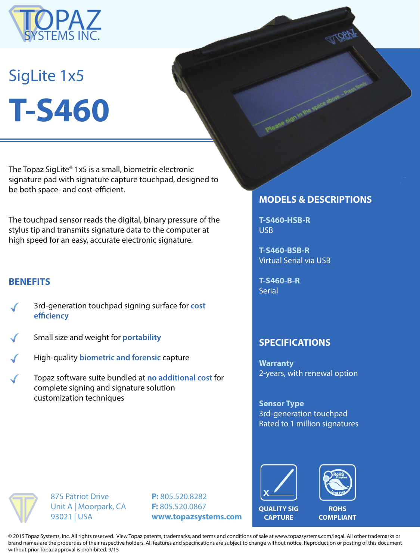

# SigLite 1x5 **T-S460**

The Topaz SigLite® 1x5 is a small, biometric electronic signature pad with signature capture touchpad, designed to be both space- and cost-efficient.

The touchpad sensor reads the digital, binary pressure of the stylus tip and transmits signature data to the computer at high speed for an easy, accurate electronic signature.

## **BENEFITS**

- 3rd-generation touchpad signing surface for **cost efficiency**
- Small size and weight for **portability**
- High-quality **biometric and forensic** capture
- Topaz software suite bundled at **no additional cost** for complete signing and signature solution customization techniques

## **MODELS & DESCRIPTIONS**

**T-S460-HSB-R** USB

**T-S460-BSB-R** Virtual Serial via USB

**T-S460-B-R Serial** 

#### **SPECIFICATIONS**

**Warranty** 2-years, with renewal option

**Sensor Type** 3rd-generation touchpad Rated to 1 million signatures



**QUALITY SIG CAPTURE**



**ROHS COMPLIANT**

875 Patriot Drive Unit A | Moorpark, CA 93021 | USA

**P:** 805.520.8282 **F:** 805.520.0867 **www.topazsystems.com**

© 2015 Topaz Systems, Inc. All rights reserved. View Topaz patents, trademarks, and terms and conditions of sale at www.topazsystems.com/legal. All other trademarks or brand names are the properties of their respective holders. All features and specifications are subject to change without notice. Reproduction or posting of this document without prior Topaz approval is prohibited. 9/15